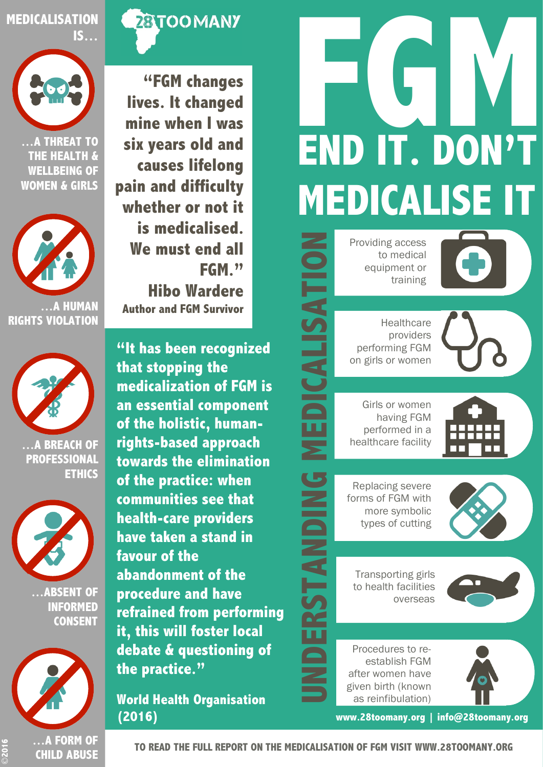

Providing access to medical equipment or training

**Healthcare** providers performing FGM on girls or women

**CALISA** 

ш

Girls or women having FGM performed in a healthcare facility

Replacing severe forms of FGM with more symbolic types of cutting

Transporting girls to health facilities overseas

Procedures to reestablish FGM after women have given birth (known as reinfibulation)

**www.28toomany.org | info@28toomany.org**



**"FGM changes lives. It changed mine when I was six years old and causes lifelong pain and difficulty whether or not it is medicalised. We must end all FGM." Hibo Wardere Author and FGM Survivor**

**"It has been recognized that stopping the medicalization of FGM is an essential component of the holistic, humanrights-based approach towards the elimination of the practice: when communities see that health-care providers have taken a stand in favour of the abandonment of the procedure and have refrained from performing it, this will foster local debate & questioning of the practice."**

**World Health Organisation (2016)**





**…A THREAT TO THE HEALTH & WELLBEING OF WOMEN & GIRLS**





**…A BREACH OF PROFESSIONAL ETHICS** 



**…ABSENT OF INFORMED CONSENT**



©**2016**